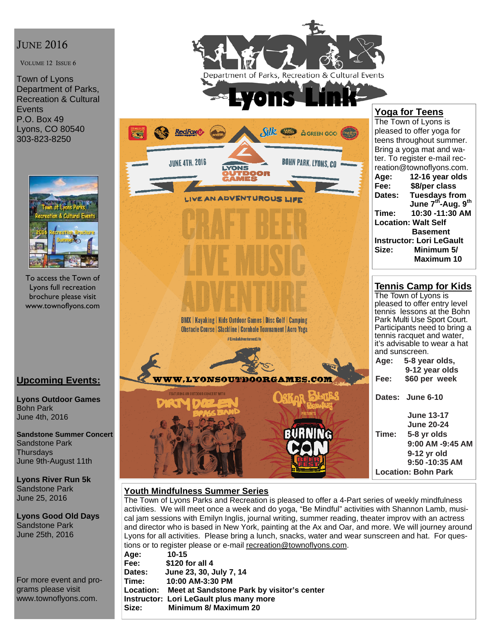## **JUNE 2016**

VOLUME 12 ISSUE 6

Town of Lyons Department of Parks, Recreation & Cultural **Events** P.O. Box 49 Lyons, CO 80540 303-823-8250



To access the Town of Lyons full recreation brochure please visit www.townoflyons.com

### **Upcoming Events:**

**Lyons Outdoor Games**  Bohn Park June 4th, 2016

**Sandstone Summer Concert**  Sandstone Park **Thursdays** June 9th-August 11th

**Lyons River Run 5k**  Sandstone Park June 25, 2016

**Lyons Good Old Days**  Sandstone Park June 25th, 2016

For more event and programs please visit www.townoflyons.com.



### **Youth Mindfulness Summer Series**

The Town of Lyons Parks and Recreation is pleased to offer a 4-Part series of weekly mindfulness activities. We will meet once a week and do yoga, "Be Mindful" activities with Shannon Lamb, musical jam sessions with Emilyn Inglis, journal writing, summer reading, theater improv with an actress and director who is based in New York, painting at the Ax and Oar, and more. We will journey around Lyons for all activities. Please bring a lunch, snacks, water and wear sunscreen and hat. For questions or to register please or e-mail recreation@townoflyons.com.

| Age:   | $10 - 15$                                            |
|--------|------------------------------------------------------|
| Fee:   | \$120 for all 4                                      |
| Dates: | June 23, 30, July 7, 14                              |
| Time:  | 10:00 AM-3:30 PM                                     |
|        | Location: Meet at Sandstone Park by visitor's center |
|        | Instructor: Lori LeGault plus many more              |
| Size:  | <b>Minimum 8/ Maximum 20</b>                         |
|        |                                                      |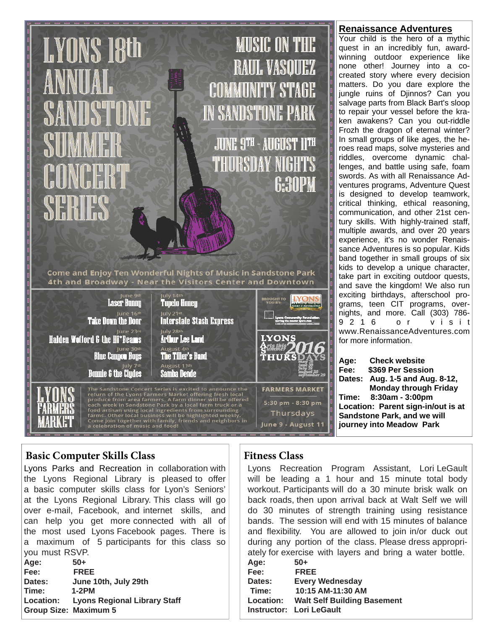# **LYONS 18th**

**MUSIC ON THE** RAUL VASOUEZ COMMUNITY STAGE **IN SANDSTONE PARK** 

JUNE 9TH - AUGUST 11TH THURSDAY NIGHTS **G:30PM** 

Come and Enjoy Ten Wonderful Nights of Music in Sandstone Park 4th and Broadway - Near the Visitors Center and Downtown

| June 9th<br><b>Laser Hunny</b><br>June 16th<br><b>Take Down the Door</b><br>June 23rd<br><b>Halden Wofford &amp; the Hi*Beams</b><br>June 30th<br><b>Blue Canyon Boys</b><br>July 7th<br><b>Bonnie &amp; the Clydes</b> | July 14th<br><b>Tupelo Honey</b><br>July 21st<br><b>Interstate Stash Express</b><br>July 28th<br><b>Arthur Lee Land</b><br>August 4th<br><b>The Tiller's Band</b><br>August 11th<br><b>Samba Dende</b>                                                                                                                                                                                                                   | <b>BROUGHT TO</b><br>YOU BY:<br>Lymus Conservatity Foundation<br><b>LYONS</b><br>ทธ<br>THURS |
|-------------------------------------------------------------------------------------------------------------------------------------------------------------------------------------------------------------------------|--------------------------------------------------------------------------------------------------------------------------------------------------------------------------------------------------------------------------------------------------------------------------------------------------------------------------------------------------------------------------------------------------------------------------|----------------------------------------------------------------------------------------------|
| a celebration of music and food!                                                                                                                                                                                        | The Sandstone Concert Series is excited to announce the<br>return of the Lyons Farmers Market offering fresh local<br>produce from area farmers. A farm dinner will be offered<br>each week in Sandstone Park by a local farm truck or a<br>food artisan using local ingredients from surrounding<br>farms. Other local business will be highlighted weekly.<br>Come join together with family, friends and neighbors in | <b>FARMERS MARKET</b><br>5:30 pm - 8:30 pm<br>Thursdays<br>June 9 - August 11                |

### **Basic Computer Skills Class**

Lyons Parks and Recreation in collaboration with the Lyons Regional Library is pleased to offer a basic computer skills class for Lyon's Seniors' at the Lyons Regional Library. This class will go over e-mail, Facebook, and internet skills, and can help you get more connected with all of the most used Lyons Facebook pages. There is a maximum of 5 participants for this class so you must RSVP.

| Age:                         | $50+$                                  |
|------------------------------|----------------------------------------|
| Fee:                         | <b>FREE</b>                            |
| Dates:                       | June 10th, July 29th                   |
| Time:                        | $1-2PM$                                |
|                              | Location: Lyons Regional Library Staff |
| <b>Group Size: Maximum 5</b> |                                        |

# **Fitness Class**

Lyons Recreation Program Assistant, Lori LeGault will be leading a 1 hour and 15 minute total body workout. Participants will do a 30 minute brisk walk on back roads, then upon arrival back at Walt Self we will do 30 minutes of strength training using resistance bands. The session will end with 15 minutes of balance and flexibility. You are allowed to join in/or duck out during any portion of the class. Please dress appropriately for exercise with layers and bring a water bottle.

| Age:      | $50+$                              |
|-----------|------------------------------------|
| Fee:      | <b>FREE</b>                        |
| Dates:    | <b>Every Wednesday</b>             |
| Time:     | 10:15 AM-11:30 AM                  |
| Location: | <b>Walt Self Building Basement</b> |
|           | <b>Instructor: Lori LeGault</b>    |

### **Renaissance Adventures**

Your child is the hero of a mythic quest in an incredibly fun, awardwinning outdoor experience like none other! Journey into a cocreated story where every decision matters. Do you dare explore the jungle ruins of Djinnos? Can you salvage parts from Black Bart's sloop to repair your vessel before the kraken awakens? Can you out-riddle Frozh the dragon of eternal winter? In small groups of like ages, the heroes read maps, solve mysteries and riddles, overcome dynamic challenges, and battle using safe, foam swords. As with all Renaissance Adventures programs, Adventure Quest is designed to develop teamwork, critical thinking, ethical reasoning, communication, and other 21st century skills. With highly-trained staff, multiple awards, and over 20 years experience, it's no wonder Renaissance Adventures is so popular. Kids band together in small groups of six kids to develop a unique character, take part in exciting outdoor quests, and save the kingdom! We also run exciting birthdays, afterschool programs, teen CIT programs, overnights, and more. Call (303) 786- 9 2 1 6 o r v i s i t www.RenaissanceAdventures.com for more information.

**Age: Check website Fee: \$369 Per Session Dates: Aug. 1-5 and Aug. 8-12, Monday through Friday Time: 8:30am - 3:00pm Location: Parent sign-in/out is at Sandstone Park, and we will journey into Meadow Park**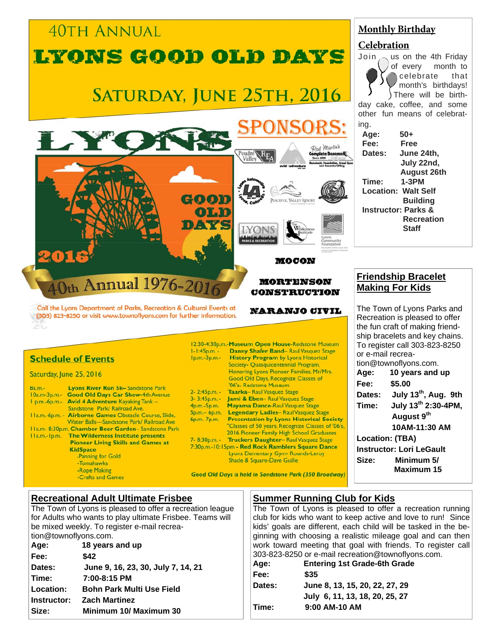### **40TH ANNUAL** LYONS GOOD OLD DAYS SATURDAY, JUNE 25TH, 2016 Dod Martin Goon oi.n DATE **MOCON** Oth Annual 1976-2016 **MORTENSON CONSTRUCTION** Call the Lyons Department of Parks, Recreation & Cultural Events at **NARANJO CIVIL** (303) 823-8250 or visit www.townoflyons.com for further information. 12:30-4:30p.m.-Museum Open House-Redstone Museum Danny Shafer Band-Raul Vasquez Stage  $1 - 1:45p.m. -$ **Schedule of Events** Ip.m.-3p.m.-**History Program by Lyons Historical** Society- Quasquicentennial Program, Honoring Lyons Pioneer Families, Mr/Mrs. Saturday, June 25, 2016 Good Old Days, Recognize Classes of '06's- Redstone Museum **Lyons River Run 5k-Sandstone Park**  $8a.m.$ 2-2:45p.m. -Taarka- Raul Vasquez Stage 10a.m-3p.m.- Good Old Days Car Show-4th Avenue 3-3:45p.m. -Jami & Eben-Raul Vasquez Stage I p.m.-6p.m.- Avid 4 Adventure Kayaking Tank -4p.m.-5p.m. Mayama Dance-Raul Vasquez Stage Sandstone Park/ Railroad Ave. Legendary Ladies- Raul Vasquez Stage  $5<sub>D.m.</sub> - 6<sub>D.m.</sub>$ Ila.m.-6p.m. - Airborne Games Obstacle Course, Slide, 6p.m.-7p.m.-**Presentation by Lyons Historical Society-**Water Balls-Sandstone Park/ Railroad Ave "Classes of 50 years, Recognize Classes of '06's, Ha.m- 8:30p.m. Chamber Beer Garden-Sandstone Park 2016 Pioneer Family High School Graduates Ha.m.-Ip.m. The Wilderness Institute presents 7-8:30p.m. -Truckers Daughter- Raul Vasquez Stage **Pioneer Living Skills and Games at** 7:30p.m.-10:15pm - Red Rock Ramblers Square Dance **KidSpace** Lyons Elementary Gym- Rounds-Leroy Panning for Gold Shade & Square-Dave Guille -Tomahawks -Rope Making **Good Old Days is held in Sandstone Park (350 Broadway)** -Crafts and Games

# **Monthly Birthday**

### **Celebration**

Join  $\sim$  us on the 4th Friday of every month to celebrate that month's birthdays! There will be birthday cake, coffee, and some other fun means of celebrating. **Age: 50+ Fee: Free Dates: June 24th, July 22nd, August 26th Time: 1-3PM Location: Walt Self Building Instructor: Parks & Recreation Staff**

### **Friendship Bracelet Making For Kids**

The Town of Lyons Parks and Recreation is pleased to offer the fun craft of making friendship bracelets and key chains. To register call 303-823-8250 or e-mail recreation@townoflyons.com. **Age: 10 years and up Fee: \$5.00 Dates: July 13th, Aug. 9th Time: July 13th 2:30-4PM, August 9th 10AM-11:30 AM Location: (TBA) Instructor: Lori LeGault Size: Minimum 5/ Maximum 15** 

# **Recreational Adult Ultimate Frisbee**

The Town of Lyons is pleased to offer a recreation league for Adults who wants to play ultimate Frisbee. Teams will be mixed weekly. To register e-mail recreation@townoflyons.com.

| Age:        | 18 years and up                    |  |
|-------------|------------------------------------|--|
| Fee:        | \$42                               |  |
| Dates:      | June 9, 16, 23, 30, July 7, 14, 21 |  |
| Time:       | 7:00-8:15 PM                       |  |
| Location:   | <b>Bohn Park Multi Use Field</b>   |  |
| Instructor: | <b>Zach Martinez</b>               |  |
| Size:       | Minimum 10/ Maximum 30             |  |
|             |                                    |  |

# **Summer Running Club for Kids**

The Town of Lyons is pleased to offer a recreation running club for kids who want to keep active and love to run! Since kids' goals are different, each child will be tasked in the beginning with choosing a realistic mileage goal and can then work toward meeting that goal with friends. To register call 303-823-8250 or e-mail recreation@townoflyons.com.

| Age:   | <b>Entering 1st Grade-6th Grade</b> |
|--------|-------------------------------------|
| Fee:   | \$35                                |
| Dates: | June 8, 13, 15, 20, 22, 27, 29      |
|        | July 6, 11, 13, 18, 20, 25, 27      |
| Time:  | 9:00 AM-10 AM                       |